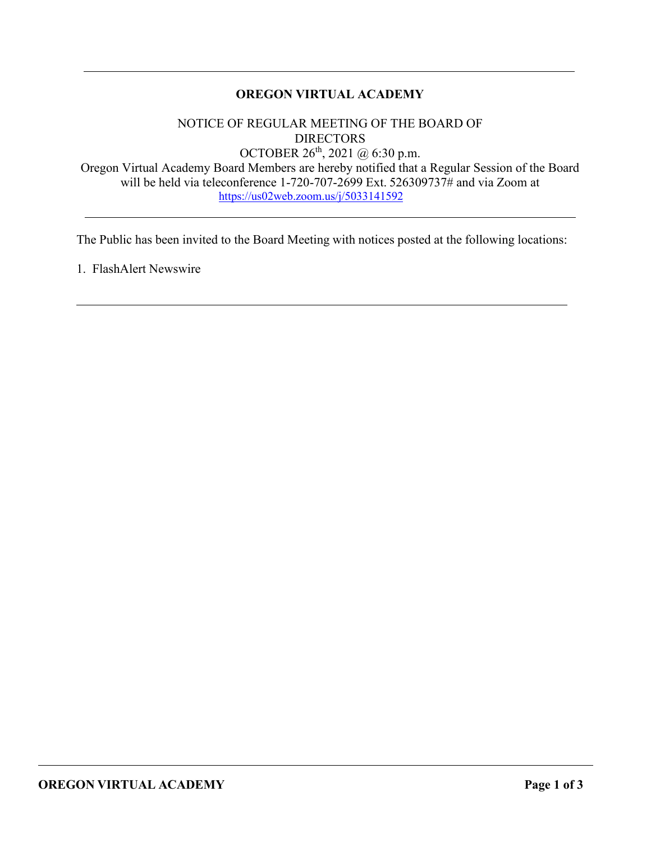# **OREGON VIRTUAL ACADEMY**

NOTICE OF REGULAR MEETING OF THE BOARD OF DIRECTORS OCTOBER 26<sup>th</sup>, 2021 @ 6:30 p.m.

Oregon Virtual Academy Board Members are hereby notified that a Regular Session of the Board will be held via teleconference 1-720-707-2699 Ext. 526309737# and via Zoom at <https://us02web.zoom.us/j/5033141592>

The Public has been invited to the Board Meeting with notices posted at the following locations:

1. FlashAlert Newswire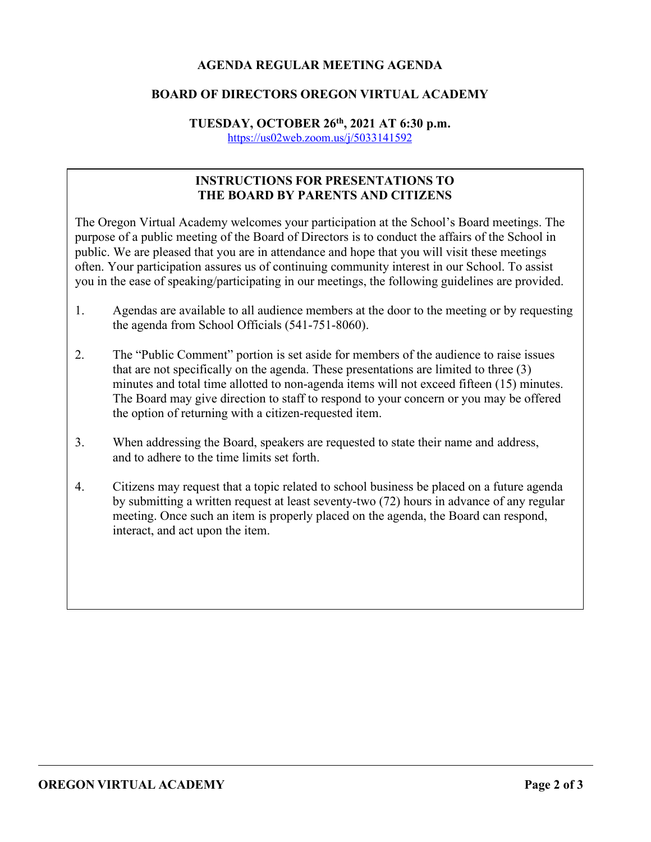# **AGENDA REGULAR MEETING AGENDA**

## **BOARD OF DIRECTORS OREGON VIRTUAL ACADEMY**

#### **TUESDAY, OCTOBER 26th, 2021 AT 6:30 p.m.** <https://us02web.zoom.us/j/5033141592>

# **INSTRUCTIONS FOR PRESENTATIONS TO THE BOARD BY PARENTS AND CITIZENS**

The Oregon Virtual Academy welcomes your participation at the School's Board meetings. The purpose of a public meeting of the Board of Directors is to conduct the affairs of the School in public. We are pleased that you are in attendance and hope that you will visit these meetings often. Your participation assures us of continuing community interest in our School. To assist you in the ease of speaking/participating in our meetings, the following guidelines are provided.

- 1. Agendas are available to all audience members at the door to the meeting or by requesting the agenda from School Officials (541-751-8060).
- 2. The "Public Comment" portion is set aside for members of the audience to raise issues that are not specifically on the agenda. These presentations are limited to three (3) minutes and total time allotted to non-agenda items will not exceed fifteen (15) minutes. The Board may give direction to staff to respond to your concern or you may be offered the option of returning with a citizen-requested item.
- 3. When addressing the Board, speakers are requested to state their name and address, and to adhere to the time limits set forth.
- 4. Citizens may request that a topic related to school business be placed on a future agenda by submitting a written request at least seventy-two (72) hours in advance of any regular meeting. Once such an item is properly placed on the agenda, the Board can respond, interact, and act upon the item.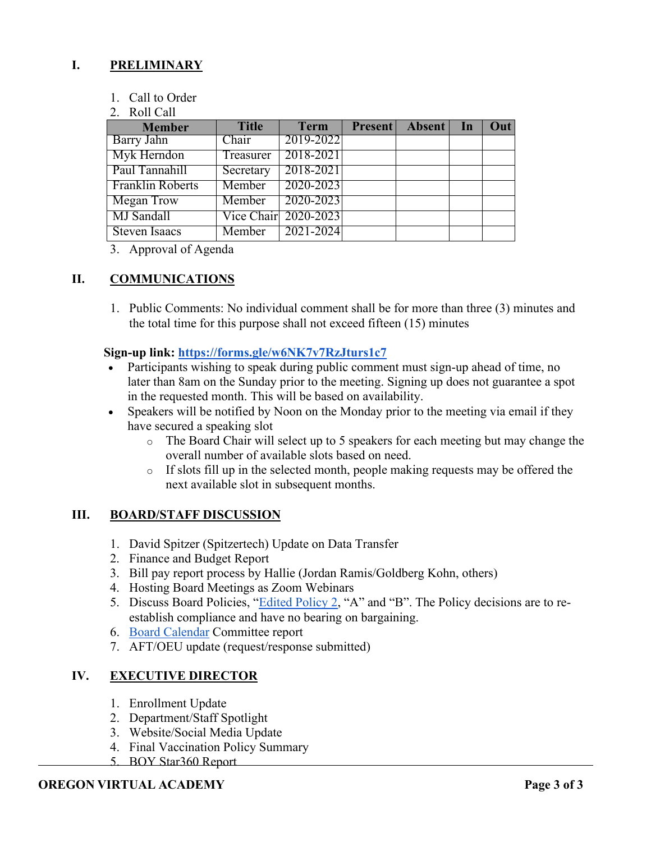# **I. PRELIMINARY**

- 1. Call to Order
- 2. Roll Call

| <b>Member</b>           | <b>Title</b> | <b>Term</b>          | Present Absent In | Out |
|-------------------------|--------------|----------------------|-------------------|-----|
| Barry Jahn              | Chair        | 2019-2022            |                   |     |
| Myk Herndon             | Treasurer    | 2018-2021            |                   |     |
| Paul Tannahill          | Secretary    | 2018-2021            |                   |     |
| <b>Franklin Roberts</b> | Member       | 2020-2023            |                   |     |
| Megan Trow              | Member       | $\mid$ 2020-2023     |                   |     |
| MJ Sandall              |              | Vice Chair 2020-2023 |                   |     |
| <b>Steven Isaacs</b>    | Member       | 2021-2024            |                   |     |

3. Approval of Agenda

## **II. COMMUNICATIONS**

1. Public Comments: No individual comment shall be for more than three (3) minutes and the total time for this purpose shall not exceed fifteen (15) minutes

### **Sign-up link:<https://forms.gle/w6NK7v7RzJturs1c7>**

- Participants wishing to speak during public comment must sign-up ahead of time, no later than 8am on the Sunday prior to the meeting. Signing up does not guarantee a spot in the requested month. This will be based on availability.
- Speakers will be notified by Noon on the Monday prior to the meeting via email if they have secured a speaking slot
	- o The Board Chair will select up to 5 speakers for each meeting but may change the overall number of available slots based on need.
	- $\circ$  If slots fill up in the selected month, people making requests may be offered the next available slot in subsequent months.

### **III. BOARD/STAFF DISCUSSION**

- 1. David Spitzer (Spitzertech) Update on Data Transfer
- 2. Finance and Budget Report
- 3. Bill pay report process by Hallie (Jordan Ramis/Goldberg Kohn, others)
- 4. Hosting Board Meetings as Zoom Webinars
- 5. Discuss Board Policies, "Edited [Policy 2,](https://drive.google.com/drive/folders/1ioKlHppnhPeLjAC_nOSF-7mRLKaXDhGv?usp=sharing) "A" and "B". The Policy decisions are to reestablish compliance and have no bearing on bargaining.
- 6. [Board Calendar](https://docs.google.com/document/d/1tVrSGJ6v5gCtv5NNlIoGCFS6zIGPmcuhm6aP9laESig/edit?usp=sharing) Committee report
- 7. AFT/OEU update (request/response submitted)

# **IV. EXECUTIVE DIRECTOR**

- 1. Enrollment Update
- 2. Department/Staff Spotlight
- 3. Website/Social Media Update
- 4. Final Vaccination Policy Summary
- 5. BOY Star360 Report